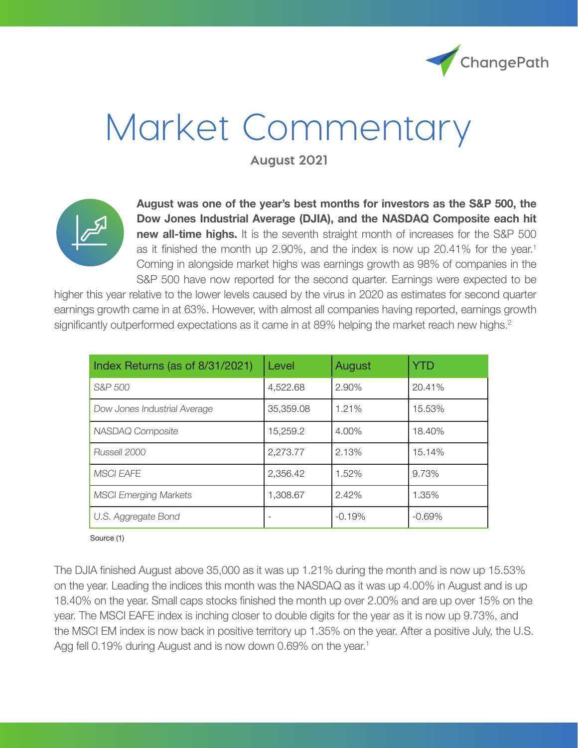

# Market Commentary

**August 2021**



**August was one of the year's best months for investors as the S&P 500, the Dow Jones Industrial Average (DJIA), and the NASDAQ Composite each hit new all-time highs.** It is the seventh straight month of increases for the S&P 500 as it finished the month up 2.90%, and the index is now up  $20.41\%$  for the year.<sup>1</sup> Coming in alongside market highs was earnings growth as 98% of companies in the S&P 500 have now reported for the second quarter. Earnings were expected to be

higher this year relative to the lower levels caused by the virus in 2020 as estimates for second quarter earnings growth came in at 63%. However, with almost all companies having reported, earnings growth significantly outperformed expectations as it came in at 89% helping the market reach new highs.<sup>2</sup>

| Index Returns (as of 8/31/2021) | Level     | August   | YTD      |
|---------------------------------|-----------|----------|----------|
| S&P 500                         | 4,522.68  | 2.90%    | 20.41%   |
| Dow Jones Industrial Average    | 35,359.08 | 1.21%    | 15.53%   |
| NASDAQ Composite                | 15.259.2  | 4.00%    | 18.40%   |
| Russell 2000                    | 2,273.77  | 2.13%    | 15.14%   |
| <b>MSCI EAFE</b>                | 2,356.42  | 1.52%    | 9.73%    |
| <b>MSCI Emerging Markets</b>    | 1.308.67  | 2.42%    | 1.35%    |
| U.S. Aggregate Bond             |           | $-0.19%$ | $-0.69%$ |

Source (1)

The DJIA finished August above 35,000 as it was up 1.21% during the month and is now up 15.53% on the year. Leading the indices this month was the NASDAQ as it was up 4.00% in August and is up 18.40% on the year. Small caps stocks finished the month up over 2.00% and are up over 15% on the year. The MSCI EAFE index is inching closer to double digits for the year as it is now up 9.73%, and the MSCI EM index is now back in positive territory up 1.35% on the year. After a positive July, the U.S. Agg fell 0.19% during August and is now down 0.69% on the year.<sup>1</sup>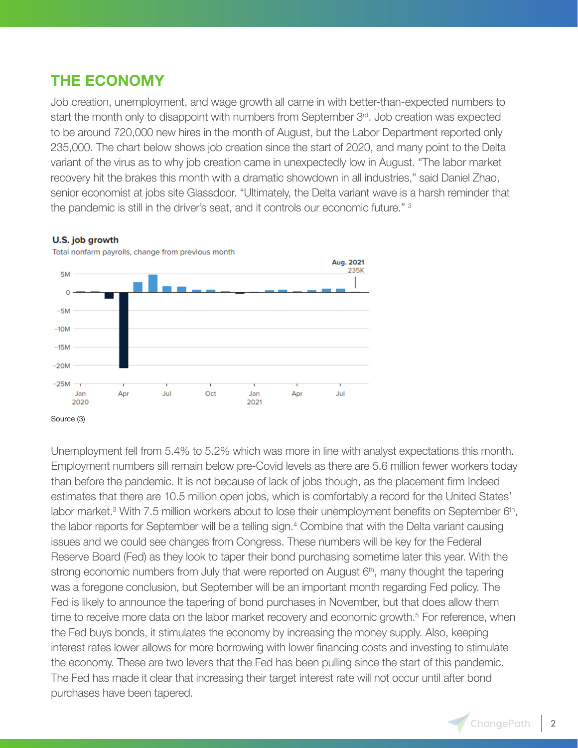## **THE ECONOMY**

Job creation, unemployment, and wage growth all came in with better-than-expected numbers to start the month only to disappoint with numbers from September  $3<sup>rd</sup>$ . Job creation was expected to be around 720,000 new hires in the month of August, but the Labor Department reported only 235,000. The chart below shows job creation since the start of 2020, and many point to the Delta variant of the virus as to why job creation came in unexpectedly low in August. "The labor market recovery hit the brakes this month with a dramatic showdown in all industries," said Daniel Zhao, senior economist at jobs site Glassdoor. "Ultimately, the Delta variant wave is a harsh reminder that the pandemic is still in the driver's seat, and it controls our economic future." 3

### U.S. job growth



Total nonfarm payrolls, change from previous month

Unemployment fell from 5.4% to 5.2% which was more in line with analyst expectations this month. Employment numbers sill remain below pre-Covid levels as there are 5.6 million fewer workers today than before the pandemic. It is not because of lack of jobs though, as the placement firm Indeed estimates that there are 10.5 million open jobs, which is comfortably a record for the United States' labor market.<sup>3</sup> With 7.5 million workers about to lose their unemployment benefits on September 6<sup>th</sup>, the labor reports for September will be a telling sign.<sup>4</sup> Combine that with the Delta variant causing issues and we could see changes from Congress. These numbers will be key for the Federal Reserve Board (Fed) as they look to taper their bond purchasing sometime later this year. With the strong economic numbers from July that were reported on August  $6<sup>th</sup>$ , many thought the tapering was a foregone conclusion, but September will be an important month regarding Fed policy. The Fed is likely to announce the tapering of bond purchases in November, but that does allow them time to receive more data on the labor market recovery and economic growth.<sup>5</sup> For reference, when the Fed buys bonds, it stimulates the economy by increasing the money supply. Also, keeping interest rates lower allows for more borrowing with lower financing costs and investing to stimulate the economy. These are two levers that the Fed has been pulling since the start of this pandemic. The Fed has made it clear that increasing their target interest rate will not occur until after bond purchases have been tapered.

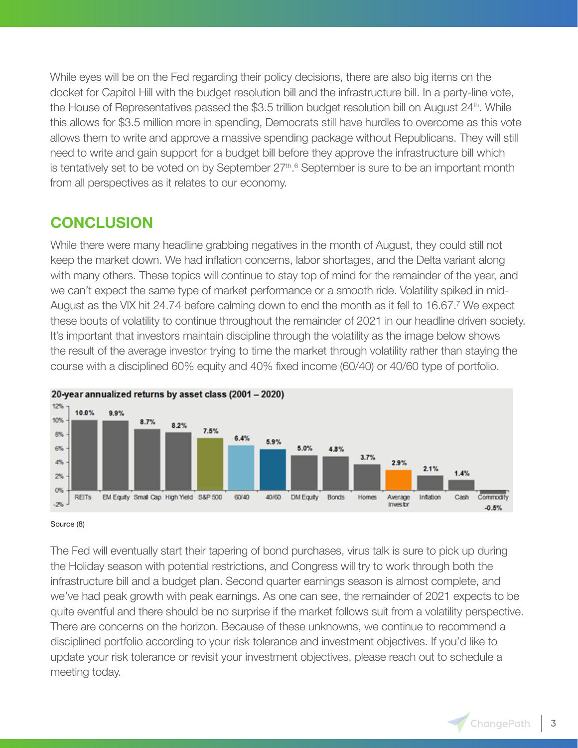While eyes will be on the Fed regarding their policy decisions, there are also big items on the docket for Capitol Hill with the budget resolution bill and the infrastructure bill. In a party-line vote, the House of Representatives passed the \$3.5 trillion budget resolution bill on August 24<sup>th</sup>. While this allows for \$3.5 million more in spending, Democrats still have hurdles to overcome as this vote allows them to write and approve a massive spending package without Republicans. They will still need to write and gain support for a budget bill before they approve the infrastructure bill which is tentatively set to be voted on by September 27<sup>th</sup>.<sup>6</sup> September is sure to be an important month from all perspectives as it relates to our economy.

## **CONCLUSION**

While there were many headline grabbing negatives in the month of August, they could still not keep the market down. We had inflation concerns, labor shortages, and the Delta variant along with many others. These topics will continue to stay top of mind for the remainder of the year, and we can't expect the same type of market performance or a smooth ride. Volatility spiked in mid-August as the VIX hit 24.74 before calming down to end the month as it fell to 16.67.<sup>7</sup> We expect these bouts of volatility to continue throughout the remainder of 2021 in our headline driven society. It's important that investors maintain discipline through the volatility as the image below shows the result of the average investor trying to time the market through volatility rather than staying the course with a disciplined 60% equity and 40% fixed income (60/40) or 40/60 type of portfolio.



#### Source (8)

The Fed will eventually start their tapering of bond purchases, virus talk is sure to pick up during the Holiday season with potential restrictions, and Congress will try to work through both the infrastructure bill and a budget plan. Second quarter earnings season is almost complete, and we've had peak growth with peak earnings. As one can see, the remainder of 2021 expects to be quite eventful and there should be no surprise if the market follows suit from a volatility perspective. There are concerns on the horizon. Because of these unknowns, we continue to recommend a disciplined portfolio according to your risk tolerance and investment objectives. If you'd like to update your risk tolerance or revisit your investment objectives, please reach out to schedule a meeting today.